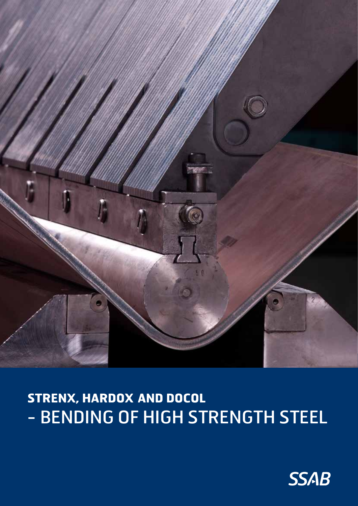

# **STRENX, HARDOX AND DOCOL**  - BENDING OF HIGH STRENGTH STEEL

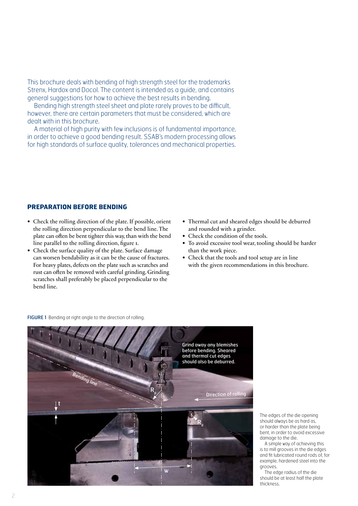This brochure deals with bending of high strength steel for the trademarks Strenx, Hardox and Docol. The content is intended as a guide, and contains general suggestions for how to achieve the best results in bending.

Bending high strength steel sheet and plate rarely proves to be difficult, however, there are certain parameters that must be considered, which are dealt with in this brochure.

A material of high purity with few inclusions is of fundamental importance, in order to achieve a good bending result. SSAB's modern processing allows for high standards of surface quality, tolerances and mechanical properties.

# **PREPARATION BEFORE BENDING**

- Check the rolling direction of the plate. If possible, orient the rolling direction perpendicular to the bend line. The plate can often be bent tighter this way, than with the bend line parallel to the rolling direction, figure 1.
- Check the surface quality of the plate. Surface damage can worsen bendability as it can be the cause of fractures. For heavy plates, defects on the plate such as scratches and rust can often be removed with careful grinding. Grinding scratches shall preferably be placed perpendicular to the bend line.
- Thermal cut and sheared edges should be deburred and rounded with a grinder.
- Check the condition of the tools.
- To avoid excessive tool wear, tooling should be harder than the work piece.
- Check that the tools and tool setup are in line with the given recommendations in this brochure.

FIGURE 1 Bending at right angle to the direction of rolling.



The edges of the die opening should always be as hard as, or harder than the plate being bent, in order to avoid excessive damage to the die.

A simple way of achieving this is to mill grooves in the die edges and fit lubricated round rods of, for example, hardened steel into the grooves.

The edge radius of the die should be at least half the plate thickness.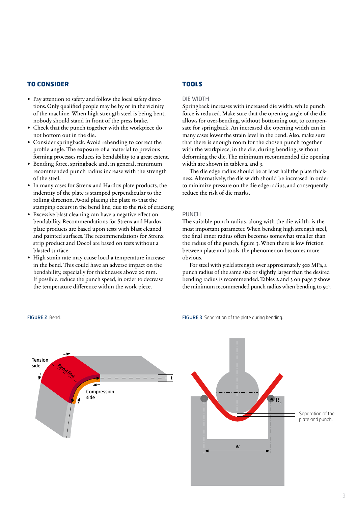# **TO CONSIDER**

- Pay attention to safety and follow the local safety directions. Only qualified people may be by or in the vicinity of the machine. When high strength steel is being bent, nobody should stand in front of the press brake.
- Check that the punch together with the workpiece do not bottom out in the die.
- Consider springback. Avoid rebending to correct the profile angle. The exposure of a material to previous forming processes reduces its bendability to a great extent.
- Bending force, springback and, in general, minimum recommended punch radius increase with the strength of the steel.
- In many cases for Strenx and Hardox plate products, the indentity of the plate is stamped perpendicular to the rolling direction. Avoid placing the plate so that the stamping occurs in the bend line, due to the risk of cracking
- Excessive blast cleaning can have a negative effect on bendability. Recommendations for Strenx and Hardox plate products are based upon tests with blast cleaned and painted surfaces. The recommendations for Strenx strip product and Docol are based on tests without a blasted surface.
- High strain rate may cause local a temperature increase in the bend. This could have an adverse impact on the bendability, especially for thicknesses above 20 mm. If possible, reduce the punch speed, in order to decrease the temperature difference within the work piece.

# **TOOLS**

#### DIE WIDTH

Springback increases with increased die width, while punch force is reduced. Make sure that the opening angle of the die allows for over-bending, without bottoming out, to compensate for springback. An increased die opening width can in many cases lower the strain level in the bend. Also, make sure that there is enough room for the chosen punch together with the workpiece, in the die, during bending, without deforming the die. The minimum recommended die opening width are shown in tables 2 and 3.

The die edge radius should be at least half the plate thickness. Alternatively, the die width should be increased in order to minimize pressure on the die edge radius, and consequently reduce the risk of die marks.

### PUNCH

The suitable punch radius, along with the die width, is the most important parameter. When bending high strength steel, the final inner radius often becomes somewhat smaller than the radius of the punch, figure 3. When there is low friction between plate and tools, the phenomenon becomes more obvious.

For steel with yield strength over approximately 500 MPa, a punch radius of the same size or slightly larger than the desired bending radius is recommended. Tables 2 and 3 on page 7 show the minimum recommended punch radius when bending to 90°.

FIGURE 2 Bend. **FIGURE 3** Separation of the plate during bending.



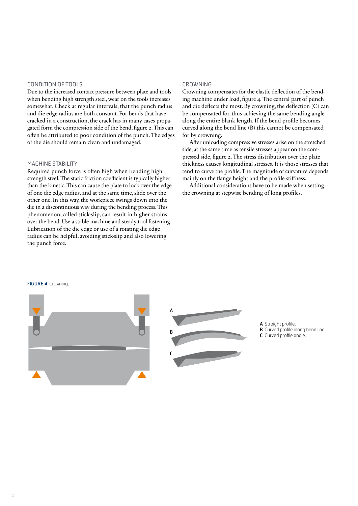## CONDITION OF TOOLS

Due to the increased contact pressure between plate and tools when bending high strength steel, wear on the tools increases somewhat. Check at regular intervals, that the punch radius and die edge radius are both constant. For bends that have cracked in a construction, the crack has in many cases propagated form the compression side of the bend, figure 2. This can often be attributed to poor condition of the punch. The edges of the die should remain clean and undamaged.

## MACHINE STABILITY

Required punch force is often high when bending high strength steel. The static friction coefficient is typically higher than the kinetic. This can cause the plate to lock over the edge of one die edge radius, and at the same time, slide over the other one. In this way, the workpiece swings down into the die in a discontinuous way during the bending process. This phenomenon, called stick-slip, can result in higher strains over the bend. Use a stable machine and steady tool fastening. Lubrication of the die edge or use of a rotating die edge radius can be helpful, avoiding stick-slip and also lowering the punch force.

#### CROWNING

Crowning compensates for the elastic deflection of the bending machine under load, figure 4. The central part of punch and die deflects the most. By crowning, the deflection (C) can be compensated for, thus achieving the same bending angle along the entire blank length. If the bend profile becomes curved along the bend line (B) this cannot be compensated for by crowning.

After unloading compressive stresses arise on the stretched side, at the same time as tensile stresses appear on the compressed side, figure 2. The stress distribution over the plate thickness causes longitudinal stresses. It is those stresses that tend to curve the profile. The magnitude of curvature depends mainly on the flange height and the profile stiffness.

Additional considerations have to be made when setting the crowning at stepwise bending of long profiles.



FIGURE 4 Crowning.

- A Straight profile.
- **B** Curved profile along bend line.
- C Curved profile angle.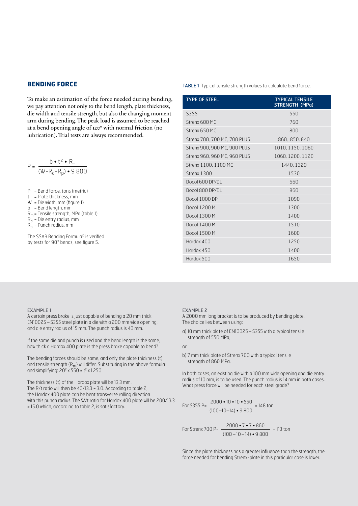# **BENDING FORCE**

To make an estimation of the force needed during bending, we pay attention not only to the bend length, plate thickness, die width and tensile strength, but also the changing moment arm during bending. The peak load is assumed to be reached at a bend opening angle of 120° with normal friction (no lubrication). Trial tests are always recommended.

$$
P = \frac{b \cdot t^2 \cdot R_m}{(W - R_d - R_p) \cdot 9800}
$$

P = Bend force, tons (metric)

t = Plate thickness, mm

W = Die width, mm (figure 1) b = Bend length, mm

 $R_m$  = Tensile strength, MPa (table 1)

- $R_d$  = Die entry radius, mm
- $R_p$  = Punch radius, mm

The SSAB Bending Formula<sup>®</sup> is verified by tests for 90° bends, see figure 5.

#### TABLE 1 Typical tensile strength values to calculate bend force.

| <b>TYPE OF STEEL</b>         | <b>TYPICAL TENSILE</b><br>STRENGTH (MPa) |
|------------------------------|------------------------------------------|
| S355                         | 550                                      |
| Strenx 600 MC                | 760                                      |
| Strenx 650 MC                | 800                                      |
| Strenx 700, 700 MC, 700 PLUS | 860, 850, 840                            |
| Strenx 900, 900 MC, 900 PLUS | 1010, 1150, 1060                         |
| Strenx 960, 960 MC, 960 PLUS | 1060, 1200, 1120                         |
| Strenx 1100, 1100 MC         | 1440, 1320                               |
| Strenx 1300                  | 1530                                     |
| Docol $600$ DP/DL            | 660                                      |
| Docol $800$ DP/DL            | 860                                      |
| Docol 1000 DP                | 1090                                     |
| Docol 1200 M                 | 1300                                     |
| Docol 1300 M                 | 1400                                     |
| Docol 1400 M                 | 1510                                     |
| Docol 1500 M                 | 1600                                     |
| Hardox 400                   | 1250                                     |
| Hardox 450                   | 1400                                     |
| Hardox 500                   | 1650                                     |

#### EXAMPLE 1

A certain press brake is just capable of bending a 20 mm thick EN10025–S355 steel plate in a die with a 200 mm wide opening, and die entry radius of 15 mm. The punch radius is 40 mm.

If the same die and punch is used and the bend length is the same, how thick a Hardox 400 plate is the press brake capable to bend?

The bending forces should be same, and only the plate thickness (t) and tensile strength  $(R_m)$  will differ. Substituting in the above formula and simplifying:  $20^2 \times 550 = t^2 \times 1250$ 

The thickness (t) of the Hardox plate will be 13.3 mm. The R/t ratio will then be 40/13.3 = 3.0. According to table 2, the Hardox 400 plate can be bent transverse rolling direction with this punch radius. The W/t ratio for Hardox 400 plate will be 200/13.3 = 15.0 which, according to table 2, is satisfactory.

#### EXAMPLE 2

A 2000 mm long bracket is to be produced by bending plate. The choice lies between using:

a) 10 mm thick plate of EN10025–S355 with a typical tensile strength of 550 MPa,

or

b) 7 mm thick plate of Strenx 700 with a typical tensile strength of 860 MPa.

In both cases, an existing die with a 100 mm wide opening and die entry radius of 10 mm, is to be used. The punch radius is 14 mm in both cases. What press force will be needed for each steel grade?

For S355 P=  $\frac{2000 \cdot 10 \cdot 10 \cdot 550}{2000 \cdot 10 \cdot 10 \cdot 550}$  = 148 ton  $\frac{100-10-14 \cdot 9800}{(100-10-14 \cdot 9800}$ 

For Strenx 700 P=  $\frac{2000 \cdot 7 \cdot 7 \cdot 860}{2000 \cdot 7 \cdot 7 \cdot 860}$  = 113 ton (100–10–14) • 9 800

Since the plate thickness has a greater influence than the strength, the force needed for bending Strenx-plate in this particular case is lower.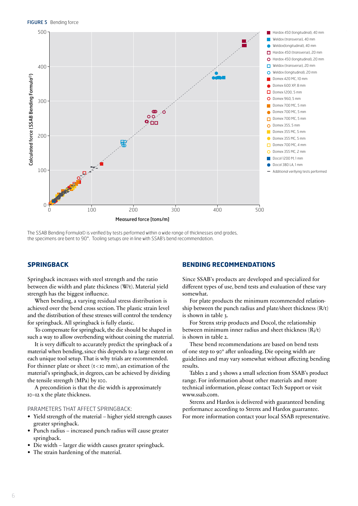

The SSAB Bending Formula© is verified by tests performed within a wide range of thicknesses and grades,

# **SPRINGBACK**

Springback increases with steel strength and the ratio between die width and plate thickness (W/t). Material yield strength has the biggest influence.

When bending, a varying residual stress distribution is achieved over the bend cross section. The plastic strain level and the distribution of these stresses will control the tendency for springback. All springback is fully elastic.

To compensate for springback, the die should be shaped in such a way to allow overbending without coining the material.

It is very difficult to accurately predict the springback of a material when bending, since this depends to a large extent on each unique tool setup. That is why trials are recommended. For thinner plate or sheet  $(t \leq r$  mm), an estimation of the material's springback, in degrees, can be achieved by dividing the tensile strength (MPa) by 100.

A precondition is that the die width is approximately 10–12 x the plate thickness.

## PARAMETERS THAT AFFECT SPRINGBACK:

- Yield strength of the material higher yield strength causes greater springback.
- Punch radius increased punch radius will cause greater springback.
- Die width larger die width causes greater springback.
- The strain hardening of the material.

## **BENDING RECOMMENDATIONS**

Since SSAB's products are developed and specialized for different types of use, bend tests and evaluation of these vary somewhat.

For plate products the minimum recommended relationship between the punch radius and plate/sheet thickness  $(R/t)$ is shown in table 3.

For Strenx strip products and Docol, the relationship between minimum inner radius and sheet thickness (Ri/t) is shown in table 2.

These bend recommendations are based on bend tests of one step to 90° after unloading. Die opeing width are guidelines and may vary somewhat without affecting bending results.

Tables 2 and 3 shows a small selection from SSAB's product range. For information about other materials and more technical information, please contact Tech Support or visit www.ssab.com.

Strenx and Hardox is delivered with guaranteed bending performance according to Strenx and Hardox guarrantee. For more information contact your local SSAB representative.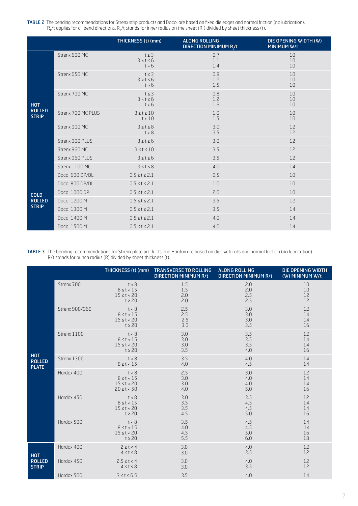TABLE 2 The bending recommendations for Strenx strip products and Docol are based on fixed die edges and normal friction (no lubrication).  $R_i$ /t applies for all bend directions.  $R_i$ /t stands for inner radius on the sheet ( $R_i$ ) divided by sheet thickness (t).

|                                              |                    | THICKNESS (t) (mm)                    | <b>ALONG ROLLING</b><br>DIRECTION MINIMUM R/t | DIE OPENING WIDTH (W)<br><b>MINIMUM W/t</b> |  |
|----------------------------------------------|--------------------|---------------------------------------|-----------------------------------------------|---------------------------------------------|--|
| <b>HOT</b><br><b>ROLLED</b><br><b>STRIP</b>  | Strenx 600 MC      | $t \leq 3$<br>$3 < t \le 6$<br>t > 6  | 0.7<br>1.1<br>1.4                             | 10<br>10<br>10                              |  |
|                                              | Strenx 650 MC      | $t \leq 3$<br>$3 < t \leq 6$<br>t > 6 | 0.8<br>1.2<br>1.5                             | 10<br>10<br>10                              |  |
|                                              | Strenx 700 MC      | $t \leq 3$<br>$3 < t \le 6$<br>t > 6  | 0.8<br>1.2<br>1.6                             | 10<br>10<br>10                              |  |
|                                              | Strenx 700 MC PLUS | $3 \leq t \leq 10$<br>t > 10          | 1.0<br>1.5                                    | 10<br>10                                    |  |
|                                              | Strenx 900 MC      | 3 < t < 8<br>t > 8                    | 3.0<br>3.5                                    | 12<br>12                                    |  |
|                                              | Strenx 900 PLUS    | $3 \leq t \leq 6$                     | 3.0                                           | 12                                          |  |
|                                              | Strenx 960 MC      | $3 \leq t \leq 10$                    | 3.5                                           | 12                                          |  |
|                                              | Strenx 960 PLUS    | $3 \leq t \leq 6$                     | 3.5                                           | 12                                          |  |
|                                              | Strenx 1100 MC     | $3 \leq t \leq 8$                     | 4.0                                           | 14                                          |  |
| <b>COLD</b><br><b>ROLLED</b><br><b>STRIP</b> | Docol 600 DP/DL    | $0.5 \le t \le 2.1$                   | 0.5                                           | 10                                          |  |
|                                              | Docol 800 DP/DL    | $0.5 \le t \le 2.1$                   | 1.0                                           | 10                                          |  |
|                                              | Docol 1000 DP      | $0.5 \le t \le 2.1$                   | 2.0                                           | 10                                          |  |
|                                              | Docol 1200 M       | $0.5 \leq t \leq 2.1$                 | 3.5                                           | 12                                          |  |
|                                              | Docol 1300 M       | $0.5 \le t \le 2.1$                   | 3.5                                           | 14                                          |  |
|                                              | Docol 1400 M       | $0.5 \le t \le 2.1$                   | 4.0                                           | 14                                          |  |
|                                              | Docol 1500 M       | $0.5 \le t \le 2.1$                   | 4.0                                           | 14                                          |  |

TABLE 3 The bending recommendations for Strenx plate products and Hardox are based on dies with rolls and normal friction (no lubrication). R/t stands for punch radius (R) divided by sheet thickness (t).

|                                             |                | THICKNESS (t) (mm)                                            | <b>TRANSVERSE TO ROLLING</b><br><b>DIRECTION MINIMUM R/t</b> | <b>ALONG ROLLING</b><br><b>DIRECTION MINIMUM R/t</b> | DIE OPENING WIDTH<br>(W) MINIMUM W/t |
|---------------------------------------------|----------------|---------------------------------------------------------------|--------------------------------------------------------------|------------------------------------------------------|--------------------------------------|
| <b>HOT</b><br><b>ROLLED</b><br><b>PLATE</b> | Strenx 700     | t < 8<br>$8 \le t < 15$<br>$15 \le t < 20$<br>$t \geq 20$     | 1.5<br>1.5<br>2.0<br>2.0                                     | 2.0<br>2.0<br>2.5<br>2.5                             | 10<br>10<br>12<br>12                 |
|                                             | Strenx 900/960 | t < 8<br>$8 \le t < 15$<br>$15 \le t < 20$<br>$t \geq 20$     | 2.5<br>2.5<br>2.5<br>3.0                                     | 3.0<br>3.0<br>3.0<br>3.5                             | 12<br>14<br>14<br>16                 |
|                                             | Strenx 1100    | t < 8<br>$8 \le t < 15$<br>$15 \le t < 20$<br>$t \geq 20$     | 3.0<br>3.0<br>3.0<br>3.5                                     | 3.5<br>3.5<br>3.5<br>4.0                             | 12<br>14<br>14<br>16                 |
|                                             | Strenx 1300    | t < 8<br>$8 \le t < 15$                                       | 3.5<br>4.0                                                   | 4.0<br>4.5                                           | 14<br>14                             |
|                                             | Hardox 400     | t < 8<br>$8 \le t < 15$<br>$15 \le t < 20$<br>$20 \le t < 50$ | 2.5<br>3.0<br>3.0<br>4.0                                     | 3.0<br>4.0<br>4.0<br>5.0                             | 12<br>14<br>14<br>16                 |
|                                             | Hardox 450     | t < 8<br>$8 \le t < 15$<br>$15 \le t < 20$<br>$t \geq 20$     | 3.0<br>3.5<br>3.5<br>4.5                                     | 3.5<br>4.5<br>4.5<br>5.0                             | 12<br>14<br>14<br>16                 |
|                                             | Hardox 500     | t < 8<br>$8 \le t < 15$<br>$15 \le t < 20$<br>$t \geq 20$     | 3.5<br>4.0<br>4.5<br>5.5                                     | 4.5<br>4.5<br>5.0<br>6.0                             | 14<br>14<br>16<br>18                 |
| <b>HOT</b><br><b>ROLLED</b><br><b>STRIP</b> | Hardox 400     | $2 \leq t < 4$<br>$4 \leq t \leq 8$                           | 3.0<br>3.0                                                   | 4.0<br>3.5                                           | 12<br>12                             |
|                                             | Hardox 450     | $2.5 \le t < 4$<br>$4 \leq t \leq 8$                          | 3.0<br>3.0                                                   | 4.0<br>3.5                                           | 12<br>12                             |
|                                             | Hardox 500     | $3 \leq t \leq 6.5$                                           | 3.5                                                          | 4.0                                                  | 14                                   |